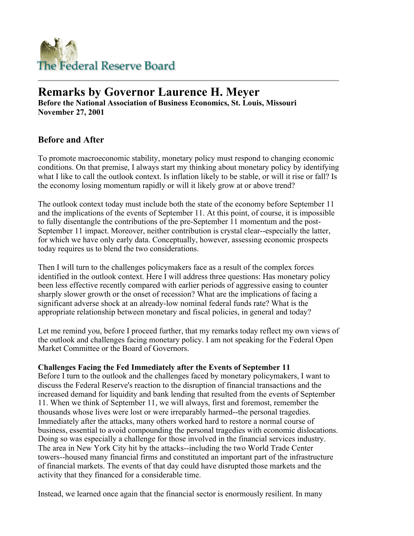

# **Remarks by Governor Laurence H. Meyer**

**Before the National Association of Business Economics, St. Louis, Missouri November 27, 2001**

# **Before and After**

To promote macroeconomic stability, monetary policy must respond to changing economic conditions. On that premise, I always start my thinking about monetary policy by identifying what I like to call the outlook context. Is inflation likely to be stable, or will it rise or fall? Is the economy losing momentum rapidly or will it likely grow at or above trend?

The outlook context today must include both the state of the economy before September 11 and the implications of the events of September 11. At this point, of course, it is impossible to fully disentangle the contributions of the pre-September 11 momentum and the post-September 11 impact. Moreover, neither contribution is crystal clear--especially the latter, for which we have only early data. Conceptually, however, assessing economic prospects today requires us to blend the two considerations.

Then I will turn to the challenges policymakers face as a result of the complex forces identified in the outlook context. Here I will address three questions: Has monetary policy been less effective recently compared with earlier periods of aggressive easing to counter sharply slower growth or the onset of recession? What are the implications of facing a significant adverse shock at an already-low nominal federal funds rate? What is the appropriate relationship between monetary and fiscal policies, in general and today?

Let me remind you, before I proceed further, that my remarks today reflect my own views of the outlook and challenges facing monetary policy. I am not speaking for the Federal Open Market Committee or the Board of Governors.

#### **Challenges Facing the Fed Immediately after the Events of September 11**

Before I turn to the outlook and the challenges faced by monetary policymakers, I want to discuss the Federal Reserve's reaction to the disruption of financial transactions and the increased demand for liquidity and bank lending that resulted from the events of September 11. When we think of September 11, we will always, first and foremost, remember the thousands whose lives were lost or were irreparably harmed--the personal tragedies. Immediately after the attacks, many others worked hard to restore a normal course of business, essential to avoid compounding the personal tragedies with economic dislocations. Doing so was especially a challenge for those involved in the financial services industry. The area in New York City hit by the attacks--including the two World Trade Center towers--housed many financial firms and constituted an important part of the infrastructure of financial markets. The events of that day could have disrupted those markets and the activity that they financed for a considerable time.

Instead, we learned once again that the financial sector is enormously resilient. In many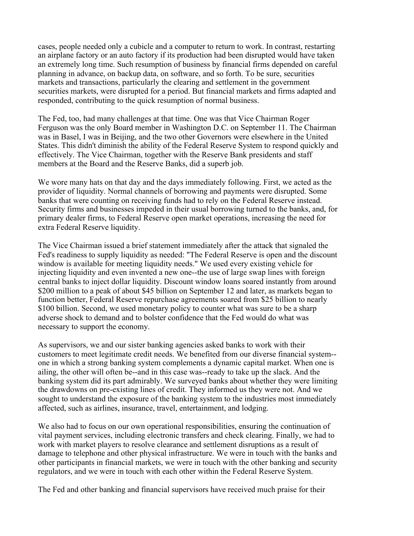cases, people needed only a cubicle and a computer to return to work. In contrast, restarting an airplane factory or an auto factory if its production had been disrupted would have taken an extremely long time. Such resumption of business by financial firms depended on careful planning in advance, on backup data, on software, and so forth. To be sure, securities markets and transactions, particularly the clearing and settlement in the government securities markets, were disrupted for a period. But financial markets and firms adapted and responded, contributing to the quick resumption of normal business.

The Fed, too, had many challenges at that time. One was that Vice Chairman Roger Ferguson was the only Board member in Washington D.C. on September 11. The Chairman was in Basel, I was in Beijing, and the two other Governors were elsewhere in the United States. This didn't diminish the ability of the Federal Reserve System to respond quickly and effectively. The Vice Chairman, together with the Reserve Bank presidents and staff members at the Board and the Reserve Banks, did a superb job.

We wore many hats on that day and the days immediately following. First, we acted as the provider of liquidity. Normal channels of borrowing and payments were disrupted. Some banks that were counting on receiving funds had to rely on the Federal Reserve instead. Security firms and businesses impeded in their usual borrowing turned to the banks, and, for primary dealer firms, to Federal Reserve open market operations, increasing the need for extra Federal Reserve liquidity.

The Vice Chairman issued a brief statement immediately after the attack that signaled the Fed's readiness to supply liquidity as needed: "The Federal Reserve is open and the discount window is available for meeting liquidity needs." We used every existing vehicle for injecting liquidity and even invented a new one--the use of large swap lines with foreign central banks to inject dollar liquidity. Discount window loans soared instantly from around \$200 million to a peak of about \$45 billion on September 12 and later, as markets began to function better, Federal Reserve repurchase agreements soared from \$25 billion to nearly \$100 billion. Second, we used monetary policy to counter what was sure to be a sharp adverse shock to demand and to bolster confidence that the Fed would do what was necessary to support the economy.

As supervisors, we and our sister banking agencies asked banks to work with their customers to meet legitimate credit needs. We benefited from our diverse financial system- one in which a strong banking system complements a dynamic capital market. When one is ailing, the other will often be--and in this case was--ready to take up the slack. And the banking system did its part admirably. We surveyed banks about whether they were limiting the drawdowns on pre-existing lines of credit. They informed us they were not. And we sought to understand the exposure of the banking system to the industries most immediately affected, such as airlines, insurance, travel, entertainment, and lodging.

We also had to focus on our own operational responsibilities, ensuring the continuation of vital payment services, including electronic transfers and check clearing. Finally, we had to work with market players to resolve clearance and settlement disruptions as a result of damage to telephone and other physical infrastructure. We were in touch with the banks and other participants in financial markets, we were in touch with the other banking and security regulators, and we were in touch with each other within the Federal Reserve System.

The Fed and other banking and financial supervisors have received much praise for their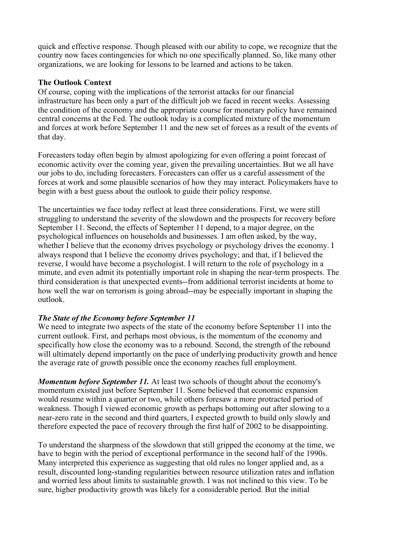quick and effective response. Though pleased with our ability to cope, we recognize that the country now faces contingencies for which no one specifically planned. So, like many other organizations, we are looking for lessons to be learned and actions to be taken.

#### **The Outlook Context**

Of course, coping with the implications of the terrorist attacks for our financial infrastructure has been only a part of the difficult job we faced in recent weeks. Assessing the condition of the economy and the appropriate course for monetary policy have remained central concerns at the Fed. The outlook today is a complicated mixture of the momentum and forces at work before September 11 and the new set of forces as a result of the events of that day.

Forecasters today often begin by almost apologizing for even offering a point forecast of economic activity over the coming year, given the prevailing uncertainties. But we all have our jobs to do, including forecasters. Forecasters can offer us a careful assessment of the forces at work and some plausible scenarios of how they may interact. Policymakers have to begin with a best guess about the outlook to guide their policy response.

The uncertainties we face today reflect at least three considerations. First, we were still struggling to understand the severity of the slowdown and the prospects for recovery before September 11. Second, the effects of September 11 depend, to a major degree, on the psychological influences on households and businesses. I am often asked, by the way, whether I believe that the economy drives psychology or psychology drives the economy. I always respond that I believe the economy drives psychology; and that, if I believed the reverse, I would have become a psychologist. I will return to the role of psychology in a minute, and even admit its potentially important role in shaping the near-term prospects. The third consideration is that unexpected events--from additional terrorist incidents at home to how well the war on terrorism is going abroad--may be especially important in shaping the outlook.

## *The State of the Economy before September 11*

We need to integrate two aspects of the state of the economy before September 11 into the current outlook. First, and perhaps most obvious, is the momentum of the economy and specifically how close the economy was to a rebound. Second, the strength of the rebound will ultimately depend importantly on the pace of underlying productivity growth and hence the average rate of growth possible once the economy reaches full employment.

*Momentum before September 11.* At least two schools of thought about the economy's momentum existed just before September 11. Some believed that economic expansion would resume within a quarter or two, while others foresaw a more protracted period of weakness. Though I viewed economic growth as perhaps bottoming out after slowing to a near-zero rate in the second and third quarters, I expected growth to build only slowly and therefore expected the pace of recovery through the first half of 2002 to be disappointing.

To understand the sharpness of the slowdown that still gripped the economy at the time, we have to begin with the period of exceptional performance in the second half of the 1990s. Many interpreted this experience as suggesting that old rules no longer applied and, as a result, discounted long-standing regularities between resource utilization rates and inflation and worried less about limits to sustainable growth. I was not inclined to this view. To be sure, higher productivity growth was likely for a considerable period. But the initial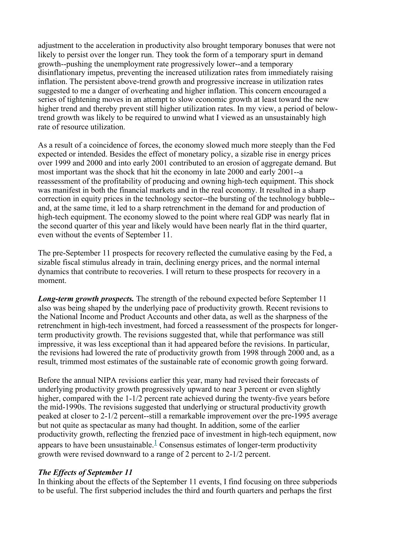adjustment to the acceleration in productivity also brought temporary bonuses that were not likely to persist over the longer run. They took the form of a temporary spurt in demand growth--pushing the unemployment rate progressively lower--and a temporary disinflationary impetus, preventing the increased utilization rates from immediately raising inflation. The persistent above-trend growth and progressive increase in utilization rates suggested to me a danger of overheating and higher inflation. This concern encouraged a series of tightening moves in an attempt to slow economic growth at least toward the new higher trend and thereby prevent still higher utilization rates. In my view, a period of belowtrend growth was likely to be required to unwind what I viewed as an unsustainably high rate of resource utilization.

As a result of a coincidence of forces, the economy slowed much more steeply than the Fed expected or intended. Besides the effect of monetary policy, a sizable rise in energy prices over 1999 and 2000 and into early 2001 contributed to an erosion of aggregate demand. But most important was the shock that hit the economy in late 2000 and early 2001--a reassessment of the profitability of producing and owning high-tech equipment. This shock was manifest in both the financial markets and in the real economy. It resulted in a sharp correction in equity prices in the technology sector--the bursting of the technology bubble- and, at the same time, it led to a sharp retrenchment in the demand for and production of high-tech equipment. The economy slowed to the point where real GDP was nearly flat in the second quarter of this year and likely would have been nearly flat in the third quarter, even without the events of September 11.

The pre-September 11 prospects for recovery reflected the cumulative easing by the Fed, a sizable fiscal stimulus already in train, declining energy prices, and the normal internal dynamics that contribute to recoveries. I will return to these prospects for recovery in a moment.

*Long-term growth prospects.* The strength of the rebound expected before September 11 also was being shaped by the underlying pace of productivity growth. Recent revisions to the National Income and Product Accounts and other data, as well as the sharpness of the retrenchment in high-tech investment, had forced a reassessment of the prospects for longerterm productivity growth. The revisions suggested that, while that performance was still impressive, it was less exceptional than it had appeared before the revisions. In particular, the revisions had lowered the rate of productivity growth from 1998 through 2000 and, as a result, trimmed most estimates of the sustainable rate of economic growth going forward.

Before the annual NIPA revisions earlier this year, many had revised their forecasts of underlying productivity growth progressively upward to near 3 percent or even slightly higher, compared with the 1-1/2 percent rate achieved during the twenty-five years before the mid-1990s. The revisions suggested that underlying or structural productivity growth peaked at closer to 2-1/2 percent--still a remarkable improvement over the pre-1995 average but not quite as spectacular as many had thought. In addition, some of the earlier productivity growth, reflecting the frenzied pace of investment in high-tech equipment, now appears to have been unsustainable.<sup>1</sup> Consensus estimates of longer-term productivity growth were revised downward to a range of 2 percent to 2-1/2 percent.

#### *The Effects of September 11*

In thinking about the effects of the September 11 events, I find focusing on three subperiods to be useful. The first subperiod includes the third and fourth quarters and perhaps the first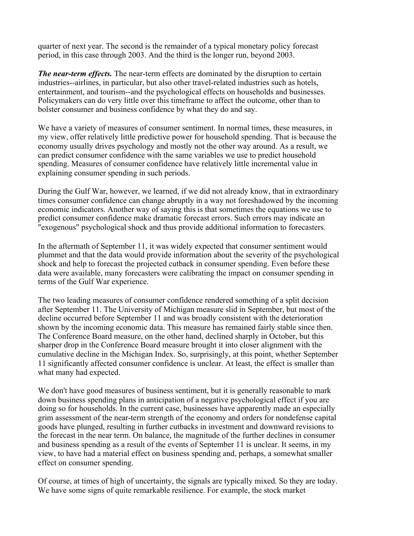quarter of next year. The second is the remainder of a typical monetary policy forecast period, in this case through 2003. And the third is the longer run, beyond 2003.

*The near-term effects.* The near-term effects are dominated by the disruption to certain industries--airlines, in particular, but also other travel-related industries such as hotels, entertainment, and tourism--and the psychological effects on households and businesses. Policymakers can do very little over this timeframe to affect the outcome, other than to bolster consumer and business confidence by what they do and say.

We have a variety of measures of consumer sentiment. In normal times, these measures, in my view, offer relatively little predictive power for household spending. That is because the economy usually drives psychology and mostly not the other way around. As a result, we can predict consumer confidence with the same variables we use to predict household spending. Measures of consumer confidence have relatively little incremental value in explaining consumer spending in such periods.

During the Gulf War, however, we learned, if we did not already know, that in extraordinary times consumer confidence can change abruptly in a way not foreshadowed by the incoming economic indicators. Another way of saying this is that sometimes the equations we use to predict consumer confidence make dramatic forecast errors. Such errors may indicate an "exogenous" psychological shock and thus provide additional information to forecasters.

In the aftermath of September 11, it was widely expected that consumer sentiment would plummet and that the data would provide information about the severity of the psychological shock and help to forecast the projected cutback in consumer spending. Even before these data were available, many forecasters were calibrating the impact on consumer spending in terms of the Gulf War experience.

The two leading measures of consumer confidence rendered something of a split decision after September 11. The University of Michigan measure slid in September, but most of the decline occurred before September 11 and was broadly consistent with the deterioration shown by the incoming economic data. This measure has remained fairly stable since then. The Conference Board measure, on the other hand, declined sharply in October, but this sharper drop in the Conference Board measure brought it into closer alignment with the cumulative decline in the Michigan Index. So, surprisingly, at this point, whether September 11 significantly affected consumer confidence is unclear. At least, the effect is smaller than what many had expected.

We don't have good measures of business sentiment, but it is generally reasonable to mark down business spending plans in anticipation of a negative psychological effect if you are doing so for households. In the current case, businesses have apparently made an especially grim assessment of the near-term strength of the economy and orders for nondefense capital goods have plunged, resulting in further cutbacks in investment and downward revisions to the forecast in the near term. On balance, the magnitude of the further declines in consumer and business spending as a result of the events of September 11 is unclear. It seems, in my view, to have had a material effect on business spending and, perhaps, a somewhat smaller effect on consumer spending.

Of course, at times of high of uncertainty, the signals are typically mixed. So they are today. We have some signs of quite remarkable resilience. For example, the stock market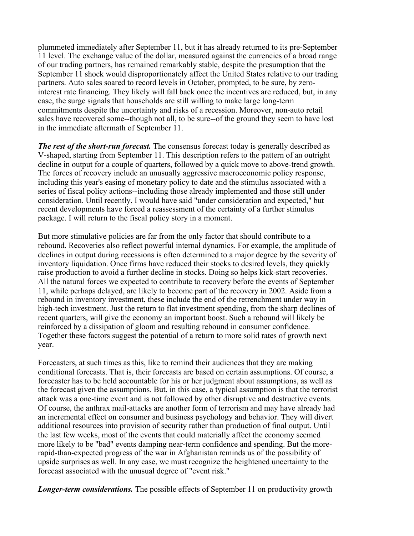plummeted immediately after September 11, but it has already returned to its pre-September 11 level. The exchange value of the dollar, measured against the currencies of a broad range of our trading partners, has remained remarkably stable, despite the presumption that the September 11 shock would disproportionately affect the United States relative to our trading partners. Auto sales soared to record levels in October, prompted, to be sure, by zerointerest rate financing. They likely will fall back once the incentives are reduced, but, in any case, the surge signals that households are still willing to make large long-term commitments despite the uncertainty and risks of a recession. Moreover, non-auto retail sales have recovered some--though not all, to be sure--of the ground they seem to have lost in the immediate aftermath of September 11.

*The rest of the short-run forecast.* The consensus forecast today is generally described as V-shaped, starting from September 11. This description refers to the pattern of an outright decline in output for a couple of quarters, followed by a quick move to above-trend growth. The forces of recovery include an unusually aggressive macroeconomic policy response, including this year's easing of monetary policy to date and the stimulus associated with a series of fiscal policy actions--including those already implemented and those still under consideration. Until recently, I would have said "under consideration and expected," but recent developments have forced a reassessment of the certainty of a further stimulus package. I will return to the fiscal policy story in a moment.

But more stimulative policies are far from the only factor that should contribute to a rebound. Recoveries also reflect powerful internal dynamics. For example, the amplitude of declines in output during recessions is often determined to a major degree by the severity of inventory liquidation. Once firms have reduced their stocks to desired levels, they quickly raise production to avoid a further decline in stocks. Doing so helps kick-start recoveries. All the natural forces we expected to contribute to recovery before the events of September 11, while perhaps delayed, are likely to become part of the recovery in 2002. Aside from a rebound in inventory investment, these include the end of the retrenchment under way in high-tech investment. Just the return to flat investment spending, from the sharp declines of recent quarters, will give the economy an important boost. Such a rebound will likely be reinforced by a dissipation of gloom and resulting rebound in consumer confidence. Together these factors suggest the potential of a return to more solid rates of growth next year.

Forecasters, at such times as this, like to remind their audiences that they are making conditional forecasts. That is, their forecasts are based on certain assumptions. Of course, a forecaster has to be held accountable for his or her judgment about assumptions, as well as the forecast given the assumptions. But, in this case, a typical assumption is that the terrorist attack was a one-time event and is not followed by other disruptive and destructive events. Of course, the anthrax mail-attacks are another form of terrorism and may have already had an incremental effect on consumer and business psychology and behavior. They will divert additional resources into provision of security rather than production of final output. Until the last few weeks, most of the events that could materially affect the economy seemed more likely to be "bad" events damping near-term confidence and spending. But the morerapid-than-expected progress of the war in Afghanistan reminds us of the possibility of upside surprises as well. In any case, we must recognize the heightened uncertainty to the forecast associated with the unusual degree of "event risk."

*Longer-term considerations.* The possible effects of September 11 on productivity growth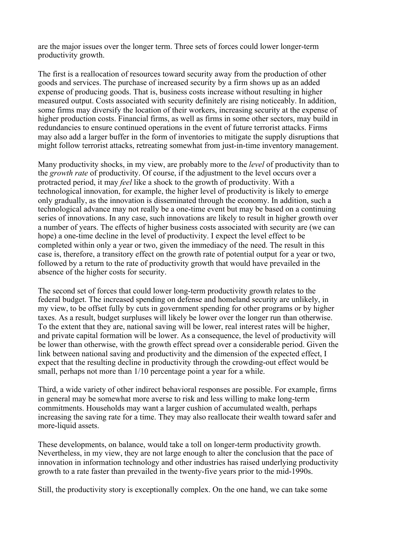are the major issues over the longer term. Three sets of forces could lower longer-term productivity growth.

The first is a reallocation of resources toward security away from the production of other goods and services. The purchase of increased security by a firm shows up as an added expense of producing goods. That is, business costs increase without resulting in higher measured output. Costs associated with security definitely are rising noticeably. In addition, some firms may diversify the location of their workers, increasing security at the expense of higher production costs. Financial firms, as well as firms in some other sectors, may build in redundancies to ensure continued operations in the event of future terrorist attacks. Firms may also add a larger buffer in the form of inventories to mitigate the supply disruptions that might follow terrorist attacks, retreating somewhat from just-in-time inventory management.

Many productivity shocks, in my view, are probably more to the *level* of productivity than to the *growth rate* of productivity. Of course, if the adjustment to the level occurs over a protracted period, it may *feel* like a shock to the growth of productivity. With a technological innovation, for example, the higher level of productivity is likely to emerge only gradually, as the innovation is disseminated through the economy. In addition, such a technological advance may not really be a one-time event but may be based on a continuing series of innovations. In any case, such innovations are likely to result in higher growth over a number of years. The effects of higher business costs associated with security are (we can hope) a one-time decline in the level of productivity. I expect the level effect to be completed within only a year or two, given the immediacy of the need. The result in this case is, therefore, a transitory effect on the growth rate of potential output for a year or two, followed by a return to the rate of productivity growth that would have prevailed in the absence of the higher costs for security.

The second set of forces that could lower long-term productivity growth relates to the federal budget. The increased spending on defense and homeland security are unlikely, in my view, to be offset fully by cuts in government spending for other programs or by higher taxes. As a result, budget surpluses will likely be lower over the longer run than otherwise. To the extent that they are, national saving will be lower, real interest rates will be higher, and private capital formation will be lower. As a consequence, the level of productivity will be lower than otherwise, with the growth effect spread over a considerable period. Given the link between national saving and productivity and the dimension of the expected effect, I expect that the resulting decline in productivity through the crowding-out effect would be small, perhaps not more than  $1/10$  percentage point a year for a while.

Third, a wide variety of other indirect behavioral responses are possible. For example, firms in general may be somewhat more averse to risk and less willing to make long-term commitments. Households may want a larger cushion of accumulated wealth, perhaps increasing the saving rate for a time. They may also reallocate their wealth toward safer and more-liquid assets.

These developments, on balance, would take a toll on longer-term productivity growth. Nevertheless, in my view, they are not large enough to alter the conclusion that the pace of innovation in information technology and other industries has raised underlying productivity growth to a rate faster than prevailed in the twenty-five years prior to the mid-1990s.

Still, the productivity story is exceptionally complex. On the one hand, we can take some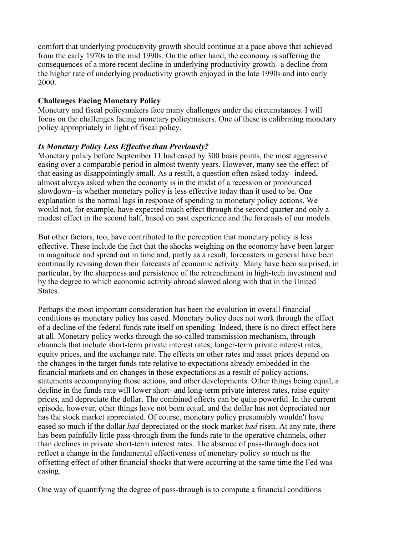comfort that underlying productivity growth should continue at a pace above that achieved from the early 1970s to the mid 1990s. On the other hand, the economy is suffering the consequences of a more recent decline in underlying productivity growth--a decline from the higher rate of underlying productivity growth enjoyed in the late 1990s and into early 2000.

### **Challenges Facing Monetary Policy**

Monetary and fiscal policymakers face many challenges under the circumstances. I will focus on the challenges facing monetary policymakers. One of these is calibrating monetary policy appropriately in light of fiscal policy.

### *Is Monetary Policy Less Effective than Previously?*

Monetary policy before September 11 had eased by 300 basis points, the most aggressive easing over a comparable period in almost twenty years. However, many see the effect of that easing as disappointingly small. As a result, a question often asked today--indeed, almost always asked when the economy is in the midst of a recession or pronounced slowdown--is whether monetary policy is less effective today than it used to be. One explanation is the normal lags in response of spending to monetary policy actions. We would not, for example, have expected much effect through the second quarter and only a modest effect in the second half, based on past experience and the forecasts of our models.

But other factors, too, have contributed to the perception that monetary policy is less effective. These include the fact that the shocks weighing on the economy have been larger in magnitude and spread out in time and, partly as a result, forecasters in general have been continually revising down their forecasts of economic activity. Many have been surprised, in particular, by the sharpness and persistence of the retrenchment in high-tech investment and by the degree to which economic activity abroad slowed along with that in the United States.

Perhaps the most important consideration has been the evolution in overall financial conditions as monetary policy has eased. Monetary policy does not work through the effect of a decline of the federal funds rate itself on spending. Indeed, there is no direct effect here at all. Monetary policy works through the so-called transmission mechanism, through channels that include short-term private interest rates, longer-term private interest rates, equity prices, and the exchange rate. The effects on other rates and asset prices depend on the changes in the target funds rate relative to expectations already embedded in the financial markets and on changes in those expectations as a result of policy actions, statements accompanying those actions, and other developments. Other things being equal, a decline in the funds rate will lower short- and long-term private interest rates, raise equity prices, and depreciate the dollar. The combined effects can be quite powerful. In the current episode, however, other things have not been equal, and the dollar has not depreciated nor has the stock market appreciated. Of course, monetary policy presumably wouldn't have eased so much if the dollar *had* depreciated or the stock market *had* risen. At any rate, there has been painfully little pass-through from the funds rate to the operative channels, other than declines in private short-term interest rates. The absence of pass-through does not reflect a change in the fundamental effectiveness of monetary policy so much as the offsetting effect of other financial shocks that were occurring at the same time the Fed was easing.

One way of quantifying the degree of pass-through is to compute a financial conditions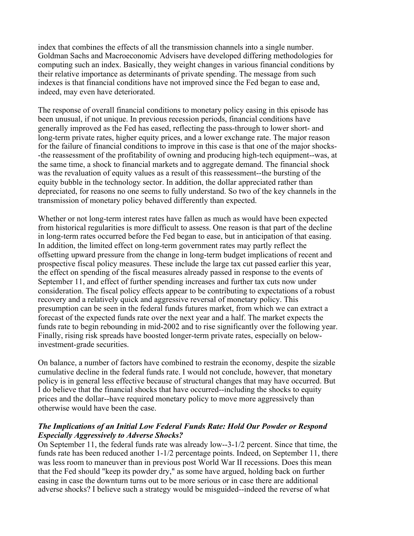index that combines the effects of all the transmission channels into a single number. Goldman Sachs and Macroeconomic Advisers have developed differing methodologies for computing such an index. Basically, they weight changes in various financial conditions by their relative importance as determinants of private spending. The message from such indexes is that financial conditions have not improved since the Fed began to ease and, indeed, may even have deteriorated.

The response of overall financial conditions to monetary policy easing in this episode has been unusual, if not unique. In previous recession periods, financial conditions have generally improved as the Fed has eased, reflecting the pass-through to lower short- and long-term private rates, higher equity prices, and a lower exchange rate. The major reason for the failure of financial conditions to improve in this case is that one of the major shocks- -the reassessment of the profitability of owning and producing high-tech equipment--was, at the same time, a shock to financial markets and to aggregate demand. The financial shock was the revaluation of equity values as a result of this reassessment--the bursting of the equity bubble in the technology sector. In addition, the dollar appreciated rather than depreciated, for reasons no one seems to fully understand. So two of the key channels in the transmission of monetary policy behaved differently than expected.

Whether or not long-term interest rates have fallen as much as would have been expected from historical regularities is more difficult to assess. One reason is that part of the decline in long-term rates occurred before the Fed began to ease, but in anticipation of that easing. In addition, the limited effect on long-term government rates may partly reflect the offsetting upward pressure from the change in long-term budget implications of recent and prospective fiscal policy measures. These include the large tax cut passed earlier this year, the effect on spending of the fiscal measures already passed in response to the events of September 11, and effect of further spending increases and further tax cuts now under consideration. The fiscal policy effects appear to be contributing to expectations of a robust recovery and a relatively quick and aggressive reversal of monetary policy. This presumption can be seen in the federal funds futures market, from which we can extract a forecast of the expected funds rate over the next year and a half. The market expects the funds rate to begin rebounding in mid-2002 and to rise significantly over the following year. Finally, rising risk spreads have boosted longer-term private rates, especially on belowinvestment-grade securities.

On balance, a number of factors have combined to restrain the economy, despite the sizable cumulative decline in the federal funds rate. I would not conclude, however, that monetary policy is in general less effective because of structural changes that may have occurred. But I do believe that the financial shocks that have occurred--including the shocks to equity prices and the dollar--have required monetary policy to move more aggressively than otherwise would have been the case.

### *The Implications of an Initial Low Federal Funds Rate: Hold Our Powder or Respond Especially Aggressively to Adverse Shocks?*

On September 11, the federal funds rate was already low--3-1/2 percent. Since that time, the funds rate has been reduced another 1-1/2 percentage points. Indeed, on September 11, there was less room to maneuver than in previous post World War II recessions. Does this mean that the Fed should "keep its powder dry," as some have argued, holding back on further easing in case the downturn turns out to be more serious or in case there are additional adverse shocks? I believe such a strategy would be misguided--indeed the reverse of what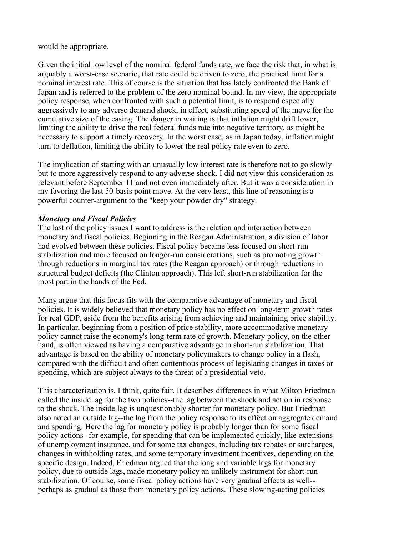would be appropriate.

Given the initial low level of the nominal federal funds rate, we face the risk that, in what is arguably a worst-case scenario, that rate could be driven to zero, the practical limit for a nominal interest rate. This of course is the situation that has lately confronted the Bank of Japan and is referred to the problem of the zero nominal bound. In my view, the appropriate policy response, when confronted with such a potential limit, is to respond especially aggressively to any adverse demand shock, in effect, substituting speed of the move for the cumulative size of the easing. The danger in waiting is that inflation might drift lower, limiting the ability to drive the real federal funds rate into negative territory, as might be necessary to support a timely recovery. In the worst case, as in Japan today, inflation might turn to deflation, limiting the ability to lower the real policy rate even to zero.

The implication of starting with an unusually low interest rate is therefore not to go slowly but to more aggressively respond to any adverse shock. I did not view this consideration as relevant before September 11 and not even immediately after. But it was a consideration in my favoring the last 50-basis point move. At the very least, this line of reasoning is a powerful counter-argument to the "keep your powder dry" strategy.

### *Monetary and Fiscal Policies*

The last of the policy issues I want to address is the relation and interaction between monetary and fiscal policies. Beginning in the Reagan Administration, a division of labor had evolved between these policies. Fiscal policy became less focused on short-run stabilization and more focused on longer-run considerations, such as promoting growth through reductions in marginal tax rates (the Reagan approach) or through reductions in structural budget deficits (the Clinton approach). This left short-run stabilization for the most part in the hands of the Fed.

Many argue that this focus fits with the comparative advantage of monetary and fiscal policies. It is widely believed that monetary policy has no effect on long-term growth rates for real GDP, aside from the benefits arising from achieving and maintaining price stability. In particular, beginning from a position of price stability, more accommodative monetary policy cannot raise the economy's long-term rate of growth. Monetary policy, on the other hand, is often viewed as having a comparative advantage in short-run stabilization. That advantage is based on the ability of monetary policymakers to change policy in a flash, compared with the difficult and often contentious process of legislating changes in taxes or spending, which are subject always to the threat of a presidential veto.

This characterization is, I think, quite fair. It describes differences in what Milton Friedman called the inside lag for the two policies--the lag between the shock and action in response to the shock. The inside lag is unquestionably shorter for monetary policy. But Friedman also noted an outside lag--the lag from the policy response to its effect on aggregate demand and spending. Here the lag for monetary policy is probably longer than for some fiscal policy actions--for example, for spending that can be implemented quickly, like extensions of unemployment insurance, and for some tax changes, including tax rebates or surcharges, changes in withholding rates, and some temporary investment incentives, depending on the specific design. Indeed, Friedman argued that the long and variable lags for monetary policy, due to outside lags, made monetary policy an unlikely instrument for short-run stabilization. Of course, some fiscal policy actions have very gradual effects as well- perhaps as gradual as those from monetary policy actions. These slowing-acting policies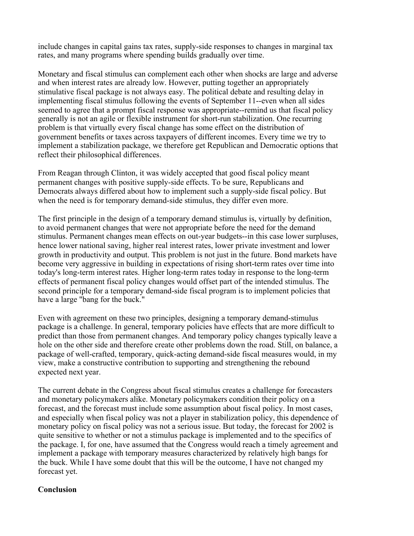include changes in capital gains tax rates, supply-side responses to changes in marginal tax rates, and many programs where spending builds gradually over time.

Monetary and fiscal stimulus can complement each other when shocks are large and adverse and when interest rates are already low. However, putting together an appropriately stimulative fiscal package is not always easy. The political debate and resulting delay in implementing fiscal stimulus following the events of September 11--even when all sides seemed to agree that a prompt fiscal response was appropriate--remind us that fiscal policy generally is not an agile or flexible instrument for short-run stabilization. One recurring problem is that virtually every fiscal change has some effect on the distribution of government benefits or taxes across taxpayers of different incomes. Every time we try to implement a stabilization package, we therefore get Republican and Democratic options that reflect their philosophical differences.

From Reagan through Clinton, it was widely accepted that good fiscal policy meant permanent changes with positive supply-side effects. To be sure, Republicans and Democrats always differed about how to implement such a supply-side fiscal policy. But when the need is for temporary demand-side stimulus, they differ even more.

The first principle in the design of a temporary demand stimulus is, virtually by definition, to avoid permanent changes that were not appropriate before the need for the demand stimulus. Permanent changes mean effects on out-year budgets--in this case lower surpluses, hence lower national saving, higher real interest rates, lower private investment and lower growth in productivity and output. This problem is not just in the future. Bond markets have become very aggressive in building in expectations of rising short-term rates over time into today's long-term interest rates. Higher long-term rates today in response to the long-term effects of permanent fiscal policy changes would offset part of the intended stimulus. The second principle for a temporary demand-side fiscal program is to implement policies that have a large "bang for the buck."

Even with agreement on these two principles, designing a temporary demand-stimulus package is a challenge. In general, temporary policies have effects that are more difficult to predict than those from permanent changes. And temporary policy changes typically leave a hole on the other side and therefore create other problems down the road. Still, on balance, a package of well-crafted, temporary, quick-acting demand-side fiscal measures would, in my view, make a constructive contribution to supporting and strengthening the rebound expected next year.

The current debate in the Congress about fiscal stimulus creates a challenge for forecasters and monetary policymakers alike. Monetary policymakers condition their policy on a forecast, and the forecast must include some assumption about fiscal policy. In most cases, and especially when fiscal policy was not a player in stabilization policy, this dependence of monetary policy on fiscal policy was not a serious issue. But today, the forecast for 2002 is quite sensitive to whether or not a stimulus package is implemented and to the specifics of the package. I, for one, have assumed that the Congress would reach a timely agreement and implement a package with temporary measures characterized by relatively high bangs for the buck. While I have some doubt that this will be the outcome, I have not changed my forecast yet.

#### **Conclusion**